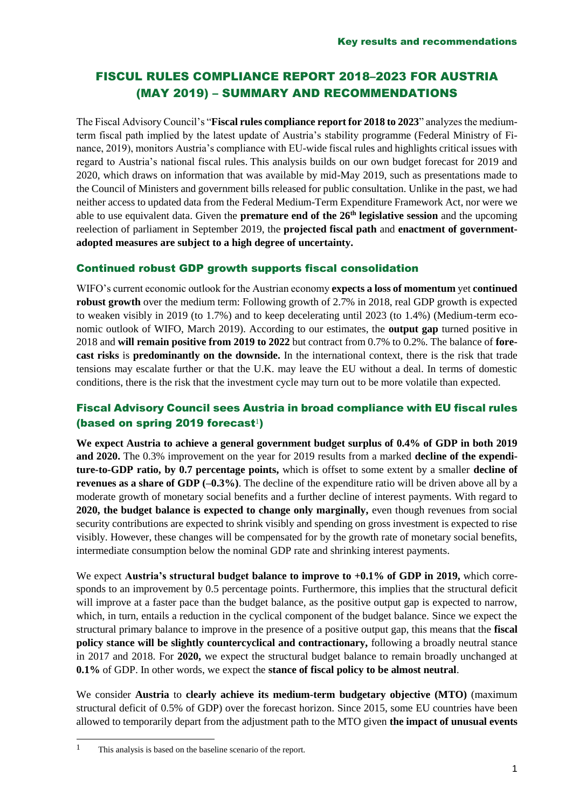## FISCUL RULES COMPLIANCE REPORT 2018–2023 FOR AUSTRIA (MAY 2019) – SUMMARY AND RECOMMENDATIONS

The Fiscal Advisory Council's "**Fiscal rules compliance report for 2018 to 2023**" analyzes the mediumterm fiscal path implied by the latest update of Austria's stability programme (Federal Ministry of Finance, 2019), monitors Austria's compliance with EU-wide fiscal rules and highlights critical issues with regard to Austria's national fiscal rules. This analysis builds on our own budget forecast for 2019 and 2020, which draws on information that was available by mid-May 2019, such as presentations made to the Council of Ministers and government bills released for public consultation. Unlike in the past, we had neither access to updated data from the Federal Medium-Term Expenditure Framework Act, nor were we able to use equivalent data. Given the **premature end of the 26th legislative session** and the upcoming reelection of parliament in September 2019, the **projected fiscal path** and **enactment of governmentadopted measures are subject to a high degree of uncertainty.**

## Continued robust GDP growth supports fiscal consolidation

WIFO's current economic outlook for the Austrian economy **expects a loss of momentum** yet **continued robust growth** over the medium term: Following growth of 2.7% in 2018, real GDP growth is expected to weaken visibly in 2019 (to 1.7%) and to keep decelerating until 2023 (to 1.4%) (Medium-term economic outlook of WIFO, March 2019). According to our estimates, the **output gap** turned positive in 2018 and **will remain positive from 2019 to 2022** but contract from 0.7% to 0.2%. The balance of **forecast risks** is **predominantly on the downside.** In the international context, there is the risk that trade tensions may escalate further or that the U.K. may leave the EU without a deal. In terms of domestic conditions, there is the risk that the investment cycle may turn out to be more volatile than expected.

## Fiscal Advisory Council sees Austria in broad compliance with EU fiscal rules (based on spring 2019 forecast $\mathbf{1}$ )

**We expect Austria to achieve a general government budget surplus of 0.4% of GDP in both 2019 and 2020.** The 0.3% improvement on the year for 2019 results from a marked **decline of the expenditure-to-GDP ratio, by 0.7 percentage points,** which is offset to some extent by a smaller **decline of revenues as a share of GDP (-0.3%)**. The decline of the expenditure ratio will be driven above all by a moderate growth of monetary social benefits and a further decline of interest payments. With regard to **2020, the budget balance is expected to change only marginally,** even though revenues from social security contributions are expected to shrink visibly and spending on gross investment is expected to rise visibly. However, these changes will be compensated for by the growth rate of monetary social benefits, intermediate consumption below the nominal GDP rate and shrinking interest payments.

We expect **Austria's structural budget balance to improve to +0.1% of GDP in 2019,** which corresponds to an improvement by 0.5 percentage points. Furthermore, this implies that the structural deficit will improve at a faster pace than the budget balance, as the positive output gap is expected to narrow, which, in turn, entails a reduction in the cyclical component of the budget balance. Since we expect the structural primary balance to improve in the presence of a positive output gap, this means that the **fiscal policy stance will be slightly countercyclical and contractionary,** following a broadly neutral stance in 2017 and 2018. For **2020,** we expect the structural budget balance to remain broadly unchanged at **0.1%** of GDP. In other words, we expect the **stance of fiscal policy to be almost neutral**.

We consider **Austria** to **clearly achieve its medium-term budgetary objective (MTO)** (maximum structural deficit of 0.5% of GDP) over the forecast horizon. Since 2015, some EU countries have been allowed to temporarily depart from the adjustment path to the MTO given **the impact of unusual events** 

-

<sup>1</sup> This analysis is based on the baseline scenario of the report.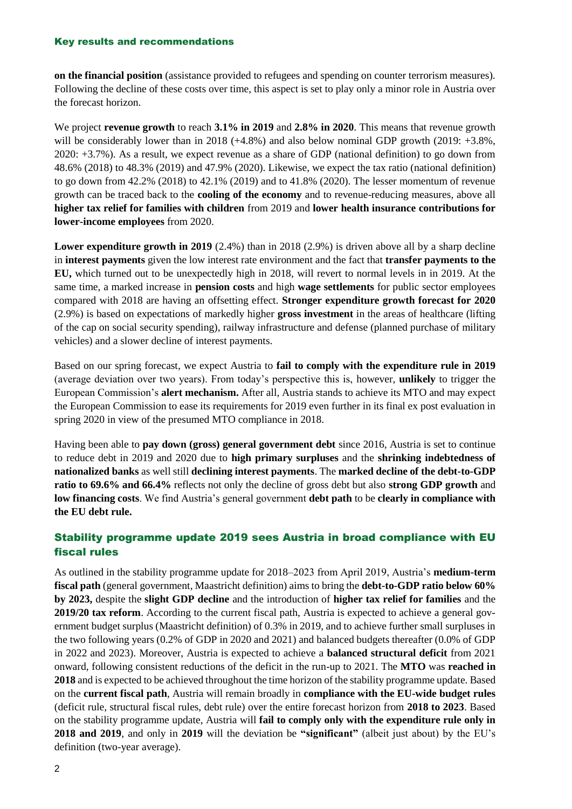#### Key results and recommendations

**on the financial position** (assistance provided to refugees and spending on counter terrorism measures). Following the decline of these costs over time, this aspect is set to play only a minor role in Austria over the forecast horizon.

We project **revenue growth** to reach **3.1% in 2019** and **2.8% in 2020**. This means that revenue growth will be considerably lower than in 2018 (+4.8%) and also below nominal GDP growth (2019: +3.8%, 2020: +3.7%). As a result, we expect revenue as a share of GDP (national definition) to go down from 48.6% (2018) to 48.3% (2019) and 47.9% (2020). Likewise, we expect the tax ratio (national definition) to go down from 42.2% (2018) to 42.1% (2019) and to 41.8% (2020). The lesser momentum of revenue growth can be traced back to the **cooling of the economy** and to revenue-reducing measures, above all **higher tax relief for families with children** from 2019 and **lower health insurance contributions for lower-income employees** from 2020.

Lower expenditure growth in 2019 (2.4%) than in 2018 (2.9%) is driven above all by a sharp decline in **interest payments** given the low interest rate environment and the fact that **transfer payments to the EU,** which turned out to be unexpectedly high in 2018, will revert to normal levels in in 2019. At the same time, a marked increase in **pension costs** and high **wage settlements** for public sector employees compared with 2018 are having an offsetting effect. **Stronger expenditure growth forecast for 2020**  (2.9%) is based on expectations of markedly higher **gross investment** in the areas of healthcare (lifting of the cap on social security spending), railway infrastructure and defense (planned purchase of military vehicles) and a slower decline of interest payments.

Based on our spring forecast, we expect Austria to **fail to comply with the expenditure rule in 2019** (average deviation over two years). From today's perspective this is, however, **unlikely** to trigger the European Commission's **alert mechanism.** After all, Austria stands to achieve its MTO and may expect the European Commission to ease its requirements for 2019 even further in its final ex post evaluation in spring 2020 in view of the presumed MTO compliance in 2018.

Having been able to **pay down (gross) general government debt** since 2016, Austria is set to continue to reduce debt in 2019 and 2020 due to **high primary surpluses** and the **shrinking indebtedness of nationalized banks** as well still **declining interest payments**. The **marked decline of the debt-to-GDP ratio to 69.6% and 66.4%** reflects not only the decline of gross debt but also **strong GDP growth** and **low financing costs**. We find Austria's general government **debt path** to be **clearly in compliance with the EU debt rule.**

## Stability programme update 2019 sees Austria in broad compliance with EU fiscal rules

As outlined in the stability programme update for 2018–2023 from April 2019, Austria's **medium-term fiscal path** (general government, Maastricht definition) aims to bring the **debt-to-GDP ratio below 60% by 2023,** despite the **slight GDP decline** and the introduction of **higher tax relief for families** and the **2019/20 tax reform**. According to the current fiscal path, Austria is expected to achieve a general government budget surplus (Maastricht definition) of 0.3% in 2019, and to achieve further small surpluses in the two following years (0.2% of GDP in 2020 and 2021) and balanced budgets thereafter (0.0% of GDP in 2022 and 2023). Moreover, Austria is expected to achieve a **balanced structural deficit** from 2021 onward, following consistent reductions of the deficit in the run-up to 2021. The **MTO** was **reached in 2018** and is expected to be achieved throughout the time horizon of the stability programme update. Based on the **current fiscal path**, Austria will remain broadly in **compliance with the EU-wide budget rules** (deficit rule, structural fiscal rules, debt rule) over the entire forecast horizon from **2018 to 2023**. Based on the stability programme update, Austria will **fail to comply only with the expenditure rule only in 2018 and 2019**, and only in **2019** will the deviation be **"significant"** (albeit just about) by the EU's definition (two-year average).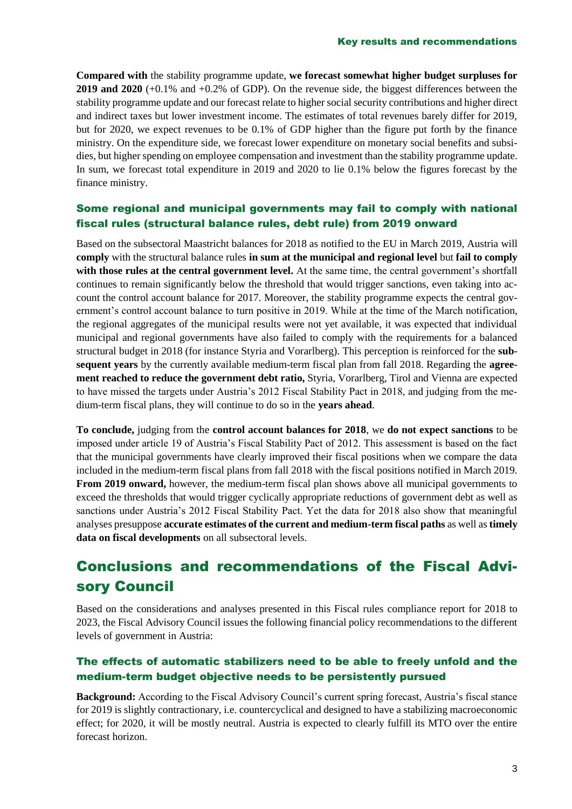**Compared with** the stability programme update, **we forecast somewhat higher budget surpluses for 2019 and 2020** (+0.1% and +0.2% of GDP). On the revenue side, the biggest differences between the stability programme update and our forecast relate to higher social security contributions and higher direct and indirect taxes but lower investment income. The estimates of total revenues barely differ for 2019, but for 2020, we expect revenues to be 0.1% of GDP higher than the figure put forth by the finance ministry. On the expenditure side, we forecast lower expenditure on monetary social benefits and subsidies, but higher spending on employee compensation and investment than the stability programme update. In sum, we forecast total expenditure in 2019 and 2020 to lie 0.1% below the figures forecast by the finance ministry.

## Some regional and municipal governments may fail to comply with national fiscal rules (structural balance rules, debt rule) from 2019 onward

Based on the subsectoral Maastricht balances for 2018 as notified to the EU in March 2019, Austria will **comply** with the structural balance rules **in sum at the municipal and regional level** but **fail to comply with those rules at the central government level.** At the same time, the central government's shortfall continues to remain significantly below the threshold that would trigger sanctions, even taking into account the control account balance for 2017. Moreover, the stability programme expects the central government's control account balance to turn positive in 2019. While at the time of the March notification, the regional aggregates of the municipal results were not yet available, it was expected that individual municipal and regional governments have also failed to comply with the requirements for a balanced structural budget in 2018 (for instance Styria and Vorarlberg). This perception is reinforced for the **subsequent years** by the currently available medium-term fiscal plan from fall 2018. Regarding the **agreement reached to reduce the government debt ratio,** Styria, Vorarlberg, Tirol and Vienna are expected to have missed the targets under Austria's 2012 Fiscal Stability Pact in 2018, and judging from the medium-term fiscal plans, they will continue to do so in the **years ahead**.

**To conclude,** judging from the **control account balances for 2018**, we **do not expect sanctions** to be imposed under article 19 of Austria's Fiscal Stability Pact of 2012. This assessment is based on the fact that the municipal governments have clearly improved their fiscal positions when we compare the data included in the medium-term fiscal plans from fall 2018 with the fiscal positions notified in March 2019. **From 2019 onward,** however, the medium-term fiscal plan shows above all municipal governments to exceed the thresholds that would trigger cyclically appropriate reductions of government debt as well as sanctions under Austria's 2012 Fiscal Stability Pact. Yet the data for 2018 also show that meaningful analyses presuppose **accurate estimates of the current and medium-term fiscal paths** as well as **timely data on fiscal developments** on all subsectoral levels.

# Conclusions and recommendations of the Fiscal Advisory Council

Based on the considerations and analyses presented in this Fiscal rules compliance report for 2018 to 2023, the Fiscal Advisory Council issues the following financial policy recommendations to the different levels of government in Austria:

## The effects of automatic stabilizers need to be able to freely unfold and the medium-term budget objective needs to be persistently pursued

**Background:** According to the Fiscal Advisory Council's current spring forecast, Austria's fiscal stance for 2019 is slightly contractionary, i.e. countercyclical and designed to have a stabilizing macroeconomic effect; for 2020, it will be mostly neutral. Austria is expected to clearly fulfill its MTO over the entire forecast horizon.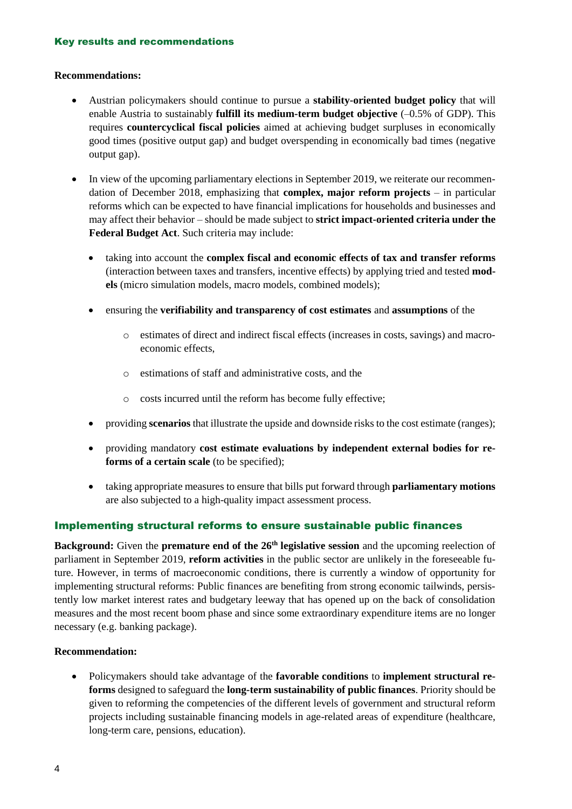#### **Recommendations:**

- Austrian policymakers should continue to pursue a **stability-oriented budget policy** that will enable Austria to sustainably **fulfill its medium-term budget objective** (–0.5% of GDP). This requires **countercyclical fiscal policies** aimed at achieving budget surpluses in economically good times (positive output gap) and budget overspending in economically bad times (negative output gap).
- In view of the upcoming parliamentary elections in September 2019, we reiterate our recommendation of December 2018, emphasizing that **complex, major reform projects** – in particular reforms which can be expected to have financial implications for households and businesses and may affect their behavior – should be made subject to **strict impact-oriented criteria under the Federal Budget Act**. Such criteria may include:
	- taking into account the **complex fiscal and economic effects of tax and transfer reforms** (interaction between taxes and transfers, incentive effects) by applying tried and tested **models** (micro simulation models, macro models, combined models);
	- ensuring the **verifiability and transparency of cost estimates** and **assumptions** of the
		- o estimates of direct and indirect fiscal effects (increases in costs, savings) and macroeconomic effects,
		- o estimations of staff and administrative costs, and the
		- o costs incurred until the reform has become fully effective;
	- providing **scenarios** that illustrate the upside and downside risks to the cost estimate (ranges);
	- providing mandatory **cost estimate evaluations by independent external bodies for reforms of a certain scale** (to be specified);
	- taking appropriate measures to ensure that bills put forward through **parliamentary motions** are also subjected to a high-quality impact assessment process.

#### Implementing structural reforms to ensure sustainable public finances

**Background:** Given the **premature end of the 26<sup>th</sup> legislative session** and the upcoming reelection of parliament in September 2019, **reform activities** in the public sector are unlikely in the foreseeable future. However, in terms of macroeconomic conditions, there is currently a window of opportunity for implementing structural reforms: Public finances are benefiting from strong economic tailwinds, persistently low market interest rates and budgetary leeway that has opened up on the back of consolidation measures and the most recent boom phase and since some extraordinary expenditure items are no longer necessary (e.g. banking package).

#### **Recommendation:**

• Policymakers should take advantage of the **favorable conditions** to **implement structural reforms** designed to safeguard the **long-term sustainability of public finances**. Priority should be given to reforming the competencies of the different levels of government and structural reform projects including sustainable financing models in age-related areas of expenditure (healthcare, long-term care, pensions, education).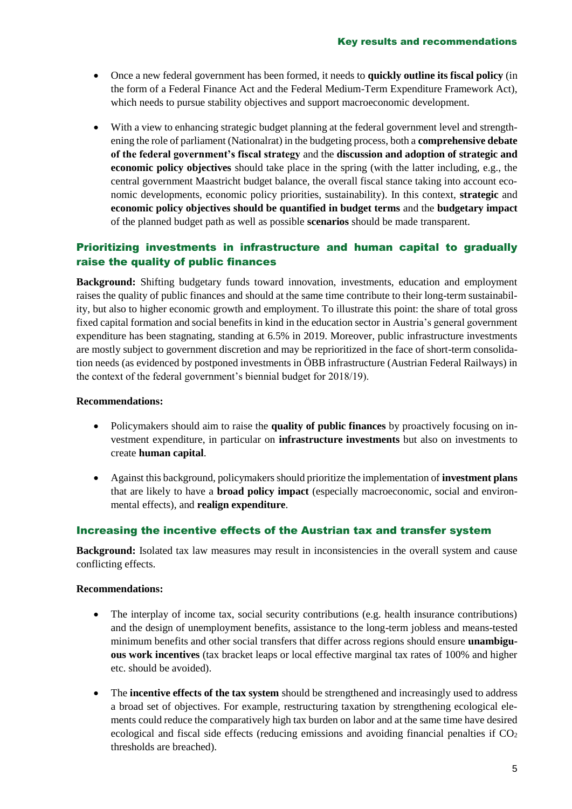- Once a new federal government has been formed, it needs to **quickly outline its fiscal policy** (in the form of a Federal Finance Act and the Federal Medium-Term Expenditure Framework Act), which needs to pursue stability objectives and support macroeconomic development.
- With a view to enhancing strategic budget planning at the federal government level and strengthening the role of parliament (Nationalrat) in the budgeting process, both a **comprehensive debate of the federal government's fiscal strategy** and the **discussion and adoption of strategic and economic policy objectives** should take place in the spring (with the latter including, e.g., the central government Maastricht budget balance, the overall fiscal stance taking into account economic developments, economic policy priorities, sustainability). In this context, **strategic** and **economic policy objectives should be quantified in budget terms** and the **budgetary impact** of the planned budget path as well as possible **scenarios** should be made transparent.

## Prioritizing investments in infrastructure and human capital to gradually raise the quality of public finances

**Background:** Shifting budgetary funds toward innovation, investments, education and employment raises the quality of public finances and should at the same time contribute to their long-term sustainability, but also to higher economic growth and employment. To illustrate this point: the share of total gross fixed capital formation and social benefits in kind in the education sector in Austria's general government expenditure has been stagnating, standing at 6.5% in 2019. Moreover, public infrastructure investments are mostly subject to government discretion and may be reprioritized in the face of short-term consolidation needs (as evidenced by postponed investments in ÖBB infrastructure (Austrian Federal Railways) in the context of the federal government's biennial budget for 2018/19).

#### **Recommendations:**

- Policymakers should aim to raise the **quality of public finances** by proactively focusing on investment expenditure, in particular on **infrastructure investments** but also on investments to create **human capital**.
- Against this background, policymakers should prioritize the implementation of **investment plans** that are likely to have a **broad policy impact** (especially macroeconomic, social and environmental effects), and **realign expenditure**.

#### Increasing the incentive effects of the Austrian tax and transfer system

**Background:** Isolated tax law measures may result in inconsistencies in the overall system and cause conflicting effects.

#### **Recommendations:**

- The interplay of income tax, social security contributions (e.g. health insurance contributions) and the design of unemployment benefits, assistance to the long-term jobless and means-tested minimum benefits and other social transfers that differ across regions should ensure **unambiguous work incentives** (tax bracket leaps or local effective marginal tax rates of 100% and higher etc. should be avoided).
- The **incentive effects of the tax system** should be strengthened and increasingly used to address a broad set of objectives. For example, restructuring taxation by strengthening ecological elements could reduce the comparatively high tax burden on labor and at the same time have desired ecological and fiscal side effects (reducing emissions and avoiding financial penalties if  $CO<sub>2</sub>$ thresholds are breached).